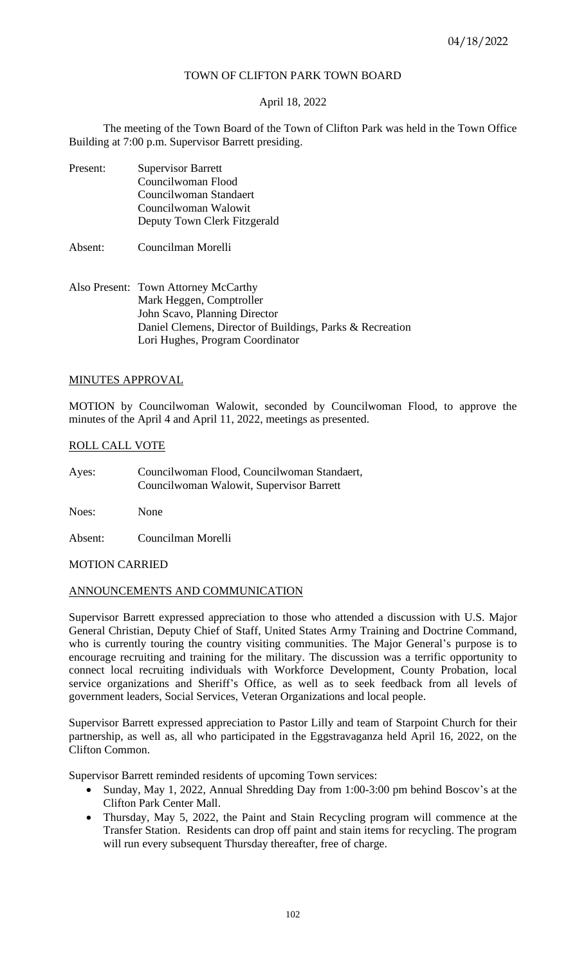# TOWN OF CLIFTON PARK TOWN BOARD

# April 18, 2022

The meeting of the Town Board of the Town of Clifton Park was held in the Town Office Building at 7:00 p.m. Supervisor Barrett presiding.

- Present: Supervisor Barrett Councilwoman Flood Councilwoman Standaert Councilwoman Walowit Deputy Town Clerk Fitzgerald
- Absent: Councilman Morelli
- Also Present: Town Attorney McCarthy Mark Heggen, Comptroller John Scavo, Planning Director Daniel Clemens, Director of Buildings, Parks & Recreation Lori Hughes, Program Coordinator

## MINUTES APPROVAL

MOTION by Councilwoman Walowit, seconded by Councilwoman Flood, to approve the minutes of the April 4 and April 11, 2022, meetings as presented.

# ROLL CALL VOTE

Ayes: Councilwoman Flood, Councilwoman Standaert, Councilwoman Walowit, Supervisor Barrett

Noes: None

Absent: Councilman Morelli

# MOTION CARRIED

## ANNOUNCEMENTS AND COMMUNICATION

Supervisor Barrett expressed appreciation to those who attended a discussion with U.S. Major General Christian, Deputy Chief of Staff, United States Army Training and Doctrine Command, who is currently touring the country visiting communities. The Major General's purpose is to encourage recruiting and training for the military. The discussion was a terrific opportunity to connect local recruiting individuals with Workforce Development, County Probation, local service organizations and Sheriff's Office, as well as to seek feedback from all levels of government leaders, Social Services, Veteran Organizations and local people.

Supervisor Barrett expressed appreciation to Pastor Lilly and team of Starpoint Church for their partnership, as well as, all who participated in the Eggstravaganza held April 16, 2022, on the Clifton Common.

Supervisor Barrett reminded residents of upcoming Town services:

- Sunday, May 1, 2022, Annual Shredding Day from 1:00-3:00 pm behind Boscov's at the Clifton Park Center Mall.
- Thursday, May 5, 2022, the Paint and Stain Recycling program will commence at the Transfer Station. Residents can drop off paint and stain items for recycling. The program will run every subsequent Thursday thereafter, free of charge.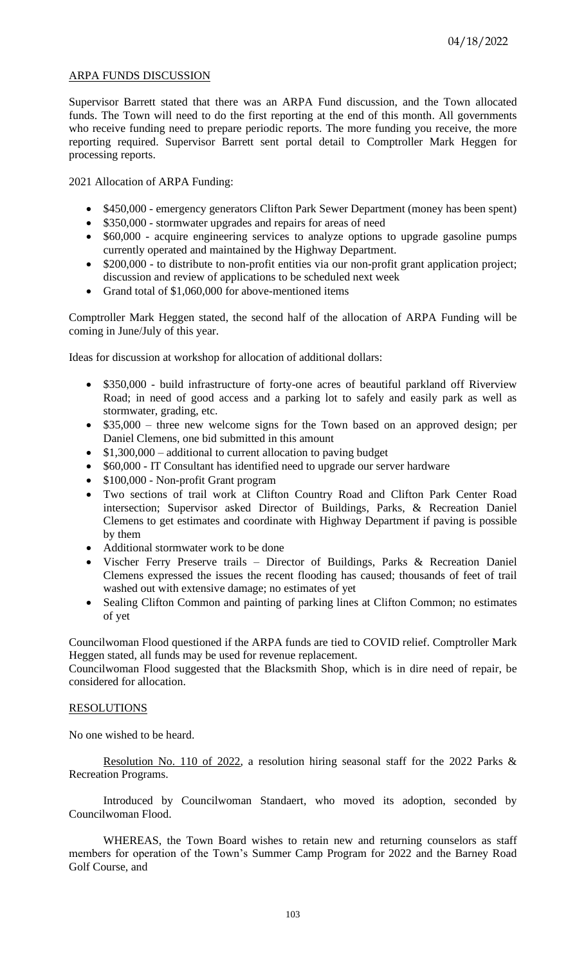# ARPA FUNDS DISCUSSION

Supervisor Barrett stated that there was an ARPA Fund discussion, and the Town allocated funds. The Town will need to do the first reporting at the end of this month. All governments who receive funding need to prepare periodic reports. The more funding you receive, the more reporting required. Supervisor Barrett sent portal detail to Comptroller Mark Heggen for processing reports.

2021 Allocation of ARPA Funding:

- \$450,000 emergency generators Clifton Park Sewer Department (money has been spent)
- \$350,000 stormwater upgrades and repairs for areas of need
- \$60,000 acquire engineering services to analyze options to upgrade gasoline pumps currently operated and maintained by the Highway Department.
- \$200,000 to distribute to non-profit entities via our non-profit grant application project; discussion and review of applications to be scheduled next week
- Grand total of \$1,060,000 for above-mentioned items

Comptroller Mark Heggen stated, the second half of the allocation of ARPA Funding will be coming in June/July of this year.

Ideas for discussion at workshop for allocation of additional dollars:

- \$350,000 build infrastructure of forty-one acres of beautiful parkland off Riverview Road; in need of good access and a parking lot to safely and easily park as well as stormwater, grading, etc.
- \$35,000 three new welcome signs for the Town based on an approved design; per Daniel Clemens, one bid submitted in this amount
- \$1,300,000 additional to current allocation to paving budget
- \$60,000 IT Consultant has identified need to upgrade our server hardware
- \$100,000 Non-profit Grant program
- Two sections of trail work at Clifton Country Road and Clifton Park Center Road intersection; Supervisor asked Director of Buildings, Parks, & Recreation Daniel Clemens to get estimates and coordinate with Highway Department if paving is possible by them
- Additional stormwater work to be done
- Vischer Ferry Preserve trails Director of Buildings, Parks & Recreation Daniel Clemens expressed the issues the recent flooding has caused; thousands of feet of trail washed out with extensive damage; no estimates of yet
- Sealing Clifton Common and painting of parking lines at Clifton Common; no estimates of yet

Councilwoman Flood questioned if the ARPA funds are tied to COVID relief. Comptroller Mark Heggen stated, all funds may be used for revenue replacement.

Councilwoman Flood suggested that the Blacksmith Shop, which is in dire need of repair, be considered for allocation.

# RESOLUTIONS

No one wished to be heard.

Resolution No. 110 of 2022, a resolution hiring seasonal staff for the 2022 Parks & Recreation Programs.

Introduced by Councilwoman Standaert, who moved its adoption, seconded by Councilwoman Flood.

WHEREAS, the Town Board wishes to retain new and returning counselors as staff members for operation of the Town's Summer Camp Program for 2022 and the Barney Road Golf Course, and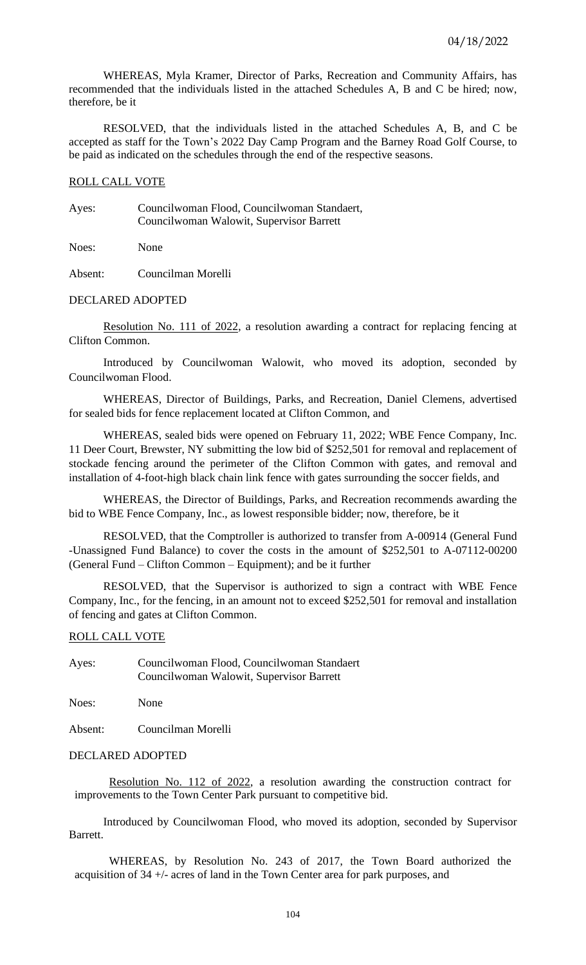WHEREAS, Myla Kramer, Director of Parks, Recreation and Community Affairs, has recommended that the individuals listed in the attached Schedules A, B and C be hired; now, therefore, be it

RESOLVED, that the individuals listed in the attached Schedules A, B, and C be accepted as staff for the Town's 2022 Day Camp Program and the Barney Road Golf Course, to be paid as indicated on the schedules through the end of the respective seasons.

# ROLL CALL VOTE

Ayes: Councilwoman Flood, Councilwoman Standaert, Councilwoman Walowit, Supervisor Barrett

Noes: None

Absent: Councilman Morelli

## DECLARED ADOPTED

Resolution No. 111 of 2022, a resolution awarding a contract for replacing fencing at Clifton Common.

Introduced by Councilwoman Walowit, who moved its adoption, seconded by Councilwoman Flood.

WHEREAS, Director of Buildings, Parks, and Recreation, Daniel Clemens, advertised for sealed bids for fence replacement located at Clifton Common, and

WHEREAS, sealed bids were opened on February 11, 2022; WBE Fence Company, Inc. 11 Deer Court, Brewster, NY submitting the low bid of \$252,501 for removal and replacement of stockade fencing around the perimeter of the Clifton Common with gates, and removal and installation of 4-foot-high black chain link fence with gates surrounding the soccer fields, and

WHEREAS, the Director of Buildings, Parks, and Recreation recommends awarding the bid to WBE Fence Company, Inc., as lowest responsible bidder; now, therefore, be it

RESOLVED, that the Comptroller is authorized to transfer from A-00914 (General Fund -Unassigned Fund Balance) to cover the costs in the amount of \$252,501 to A-07112-00200 (General Fund – Clifton Common – Equipment); and be it further

RESOLVED, that the Supervisor is authorized to sign a contract with WBE Fence Company, Inc., for the fencing, in an amount not to exceed \$252,501 for removal and installation of fencing and gates at Clifton Common.

## ROLL CALL VOTE

Ayes: Councilwoman Flood, Councilwoman Standaert Councilwoman Walowit, Supervisor Barrett

Noes: None

Absent: Councilman Morelli

## DECLARED ADOPTED

Resolution No. 112 of 2022, a resolution awarding the construction contract for improvements to the Town Center Park pursuant to competitive bid.

Introduced by Councilwoman Flood, who moved its adoption, seconded by Supervisor Barrett.

WHEREAS, by Resolution No. 243 of 2017, the Town Board authorized the acquisition of 34 +/- acres of land in the Town Center area for park purposes, and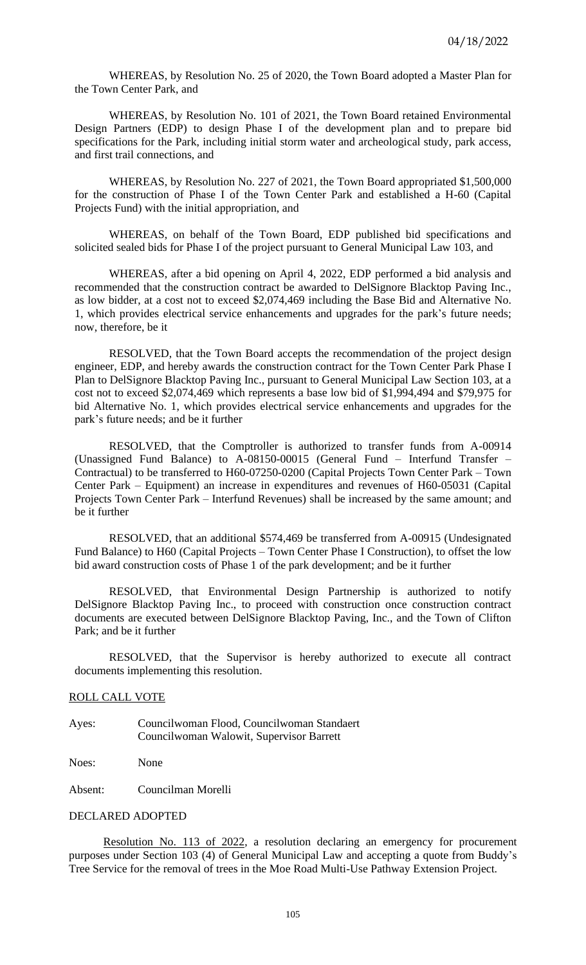WHEREAS, by Resolution No. 25 of 2020, the Town Board adopted a Master Plan for the Town Center Park, and

WHEREAS, by Resolution No. 101 of 2021, the Town Board retained Environmental Design Partners (EDP) to design Phase I of the development plan and to prepare bid specifications for the Park, including initial storm water and archeological study, park access, and first trail connections, and

WHEREAS, by Resolution No. 227 of 2021, the Town Board appropriated \$1,500,000 for the construction of Phase I of the Town Center Park and established a H-60 (Capital Projects Fund) with the initial appropriation, and

WHEREAS, on behalf of the Town Board, EDP published bid specifications and solicited sealed bids for Phase I of the project pursuant to General Municipal Law 103, and

WHEREAS, after a bid opening on April 4, 2022, EDP performed a bid analysis and recommended that the construction contract be awarded to DelSignore Blacktop Paving Inc., as low bidder, at a cost not to exceed \$2,074,469 including the Base Bid and Alternative No. 1, which provides electrical service enhancements and upgrades for the park's future needs; now, therefore, be it

RESOLVED, that the Town Board accepts the recommendation of the project design engineer, EDP, and hereby awards the construction contract for the Town Center Park Phase I Plan to DelSignore Blacktop Paving Inc., pursuant to General Municipal Law Section 103, at a cost not to exceed \$2,074,469 which represents a base low bid of \$1,994,494 and \$79,975 for bid Alternative No. 1, which provides electrical service enhancements and upgrades for the park's future needs; and be it further

RESOLVED, that the Comptroller is authorized to transfer funds from A-00914 (Unassigned Fund Balance) to A-08150-00015 (General Fund – Interfund Transfer – Contractual) to be transferred to H60-07250-0200 (Capital Projects Town Center Park – Town Center Park – Equipment) an increase in expenditures and revenues of H60-05031 (Capital Projects Town Center Park – Interfund Revenues) shall be increased by the same amount; and be it further

RESOLVED, that an additional \$574,469 be transferred from A-00915 (Undesignated Fund Balance) to H60 (Capital Projects – Town Center Phase I Construction), to offset the low bid award construction costs of Phase 1 of the park development; and be it further

RESOLVED, that Environmental Design Partnership is authorized to notify DelSignore Blacktop Paving Inc., to proceed with construction once construction contract documents are executed between DelSignore Blacktop Paving, Inc., and the Town of Clifton Park; and be it further

RESOLVED, that the Supervisor is hereby authorized to execute all contract documents implementing this resolution.

#### ROLL CALL VOTE

Ayes: Councilwoman Flood, Councilwoman Standaert Councilwoman Walowit, Supervisor Barrett

Noes: None

Absent: Councilman Morelli

#### DECLARED ADOPTED

Resolution No. 113 of 2022, a resolution declaring an emergency for procurement purposes under Section 103 (4) of General Municipal Law and accepting a quote from Buddy's Tree Service for the removal of trees in the Moe Road Multi-Use Pathway Extension Project.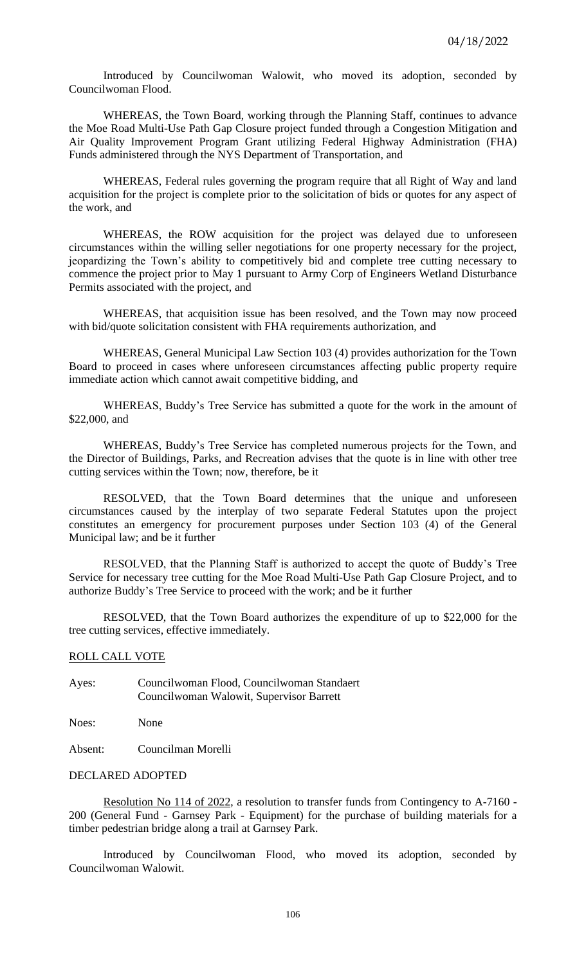Introduced by Councilwoman Walowit, who moved its adoption, seconded by Councilwoman Flood.

WHEREAS, the Town Board, working through the Planning Staff, continues to advance the Moe Road Multi-Use Path Gap Closure project funded through a Congestion Mitigation and Air Quality Improvement Program Grant utilizing Federal Highway Administration (FHA) Funds administered through the NYS Department of Transportation, and

WHEREAS, Federal rules governing the program require that all Right of Way and land acquisition for the project is complete prior to the solicitation of bids or quotes for any aspect of the work, and

WHEREAS, the ROW acquisition for the project was delayed due to unforeseen circumstances within the willing seller negotiations for one property necessary for the project, jeopardizing the Town's ability to competitively bid and complete tree cutting necessary to commence the project prior to May 1 pursuant to Army Corp of Engineers Wetland Disturbance Permits associated with the project, and

WHEREAS, that acquisition issue has been resolved, and the Town may now proceed with bid/quote solicitation consistent with FHA requirements authorization, and

WHEREAS, General Municipal Law Section 103 (4) provides authorization for the Town Board to proceed in cases where unforeseen circumstances affecting public property require immediate action which cannot await competitive bidding, and

WHEREAS, Buddy's Tree Service has submitted a quote for the work in the amount of \$22,000, and

WHEREAS, Buddy's Tree Service has completed numerous projects for the Town, and the Director of Buildings, Parks, and Recreation advises that the quote is in line with other tree cutting services within the Town; now, therefore, be it

RESOLVED, that the Town Board determines that the unique and unforeseen circumstances caused by the interplay of two separate Federal Statutes upon the project constitutes an emergency for procurement purposes under Section 103 (4) of the General Municipal law; and be it further

RESOLVED, that the Planning Staff is authorized to accept the quote of Buddy's Tree Service for necessary tree cutting for the Moe Road Multi-Use Path Gap Closure Project, and to authorize Buddy's Tree Service to proceed with the work; and be it further

RESOLVED, that the Town Board authorizes the expenditure of up to \$22,000 for the tree cutting services, effective immediately.

## ROLL CALL VOTE

Ayes: Councilwoman Flood, Councilwoman Standaert Councilwoman Walowit, Supervisor Barrett

Noes: None

Absent: Councilman Morelli

## DECLARED ADOPTED

Resolution No 114 of 2022, a resolution to transfer funds from Contingency to A-7160 - 200 (General Fund - Garnsey Park - Equipment) for the purchase of building materials for a timber pedestrian bridge along a trail at Garnsey Park.

Introduced by Councilwoman Flood, who moved its adoption, seconded by Councilwoman Walowit.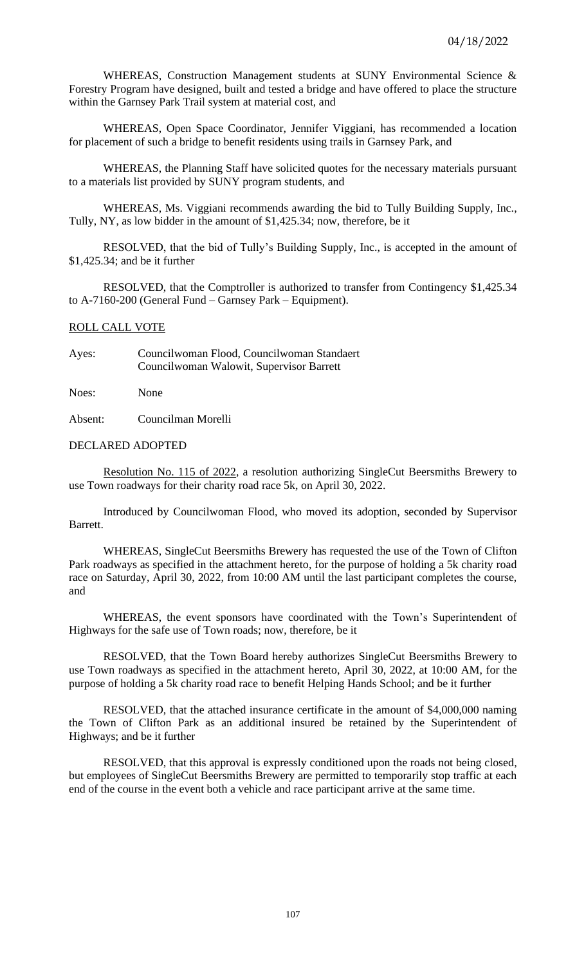WHEREAS, Construction Management students at SUNY Environmental Science & Forestry Program have designed, built and tested a bridge and have offered to place the structure within the Garnsey Park Trail system at material cost, and

WHEREAS, Open Space Coordinator, Jennifer Viggiani, has recommended a location for placement of such a bridge to benefit residents using trails in Garnsey Park, and

WHEREAS, the Planning Staff have solicited quotes for the necessary materials pursuant to a materials list provided by SUNY program students, and

WHEREAS, Ms. Viggiani recommends awarding the bid to Tully Building Supply, Inc., Tully, NY, as low bidder in the amount of \$1,425.34; now, therefore, be it

RESOLVED, that the bid of Tully's Building Supply, Inc., is accepted in the amount of \$1,425.34; and be it further

RESOLVED, that the Comptroller is authorized to transfer from Contingency \$1,425.34 to A-7160-200 (General Fund – Garnsey Park – Equipment).

### ROLL CALL VOTE

Ayes: Councilwoman Flood, Councilwoman Standaert Councilwoman Walowit, Supervisor Barrett

Noes: None

Absent: Councilman Morelli

# DECLARED ADOPTED

Resolution No. 115 of 2022, a resolution authorizing SingleCut Beersmiths Brewery to use Town roadways for their charity road race 5k, on April 30, 2022.

Introduced by Councilwoman Flood, who moved its adoption, seconded by Supervisor Barrett.

WHEREAS, SingleCut Beersmiths Brewery has requested the use of the Town of Clifton Park roadways as specified in the attachment hereto, for the purpose of holding a 5k charity road race on Saturday, April 30, 2022, from 10:00 AM until the last participant completes the course, and

WHEREAS, the event sponsors have coordinated with the Town's Superintendent of Highways for the safe use of Town roads; now, therefore, be it

RESOLVED, that the Town Board hereby authorizes SingleCut Beersmiths Brewery to use Town roadways as specified in the attachment hereto, April 30, 2022, at 10:00 AM, for the purpose of holding a 5k charity road race to benefit Helping Hands School; and be it further

RESOLVED, that the attached insurance certificate in the amount of \$4,000,000 naming the Town of Clifton Park as an additional insured be retained by the Superintendent of Highways; and be it further

RESOLVED, that this approval is expressly conditioned upon the roads not being closed, but employees of SingleCut Beersmiths Brewery are permitted to temporarily stop traffic at each end of the course in the event both a vehicle and race participant arrive at the same time.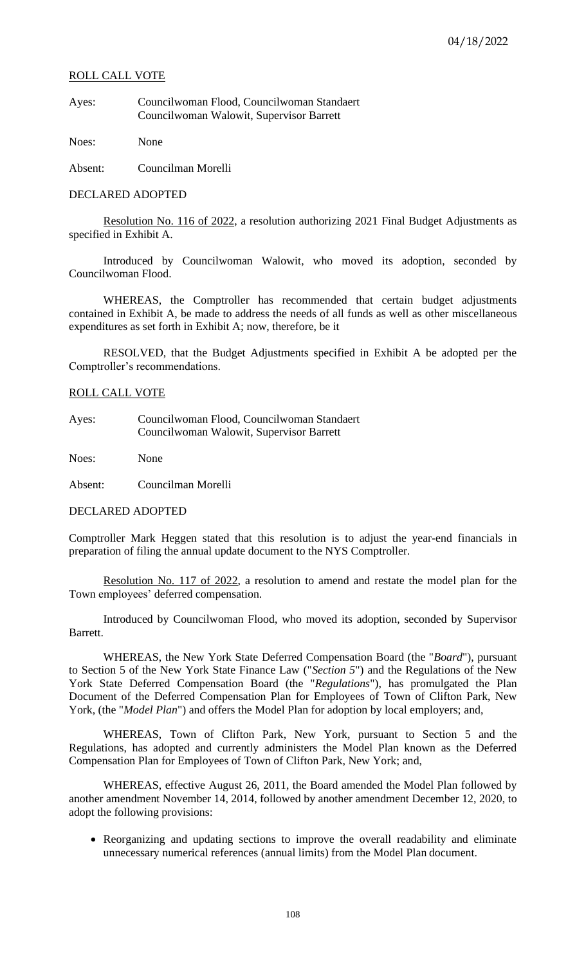## ROLL CALL VOTE

Ayes: Councilwoman Flood, Councilwoman Standaert Councilwoman Walowit, Supervisor Barrett

Noes: None

Absent: Councilman Morelli

# DECLARED ADOPTED

Resolution No. 116 of 2022, a resolution authorizing 2021 Final Budget Adjustments as specified in Exhibit A.

Introduced by Councilwoman Walowit, who moved its adoption, seconded by Councilwoman Flood.

WHEREAS, the Comptroller has recommended that certain budget adjustments contained in Exhibit A, be made to address the needs of all funds as well as other miscellaneous expenditures as set forth in Exhibit A; now, therefore, be it

RESOLVED, that the Budget Adjustments specified in Exhibit A be adopted per the Comptroller's recommendations.

## ROLL CALL VOTE

Ayes: Councilwoman Flood, Councilwoman Standaert Councilwoman Walowit, Supervisor Barrett

Noes: None

Absent: Councilman Morelli

DECLARED ADOPTED

Comptroller Mark Heggen stated that this resolution is to adjust the year-end financials in preparation of filing the annual update document to the NYS Comptroller.

Resolution No. 117 of 2022, a resolution to amend and restate the model plan for the Town employees' deferred compensation.

Introduced by Councilwoman Flood, who moved its adoption, seconded by Supervisor Barrett.

WHEREAS, the New York State Deferred Compensation Board (the "*Board*"), pursuant to Section 5 of the New York State Finance Law ("*Section 5*") and the Regulations of the New York State Deferred Compensation Board (the "*Regulations*"), has promulgated the Plan Document of the Deferred Compensation Plan for Employees of Town of Clifton Park, New York, (the "*Model Plan*") and offers the Model Plan for adoption by local employers; and,

WHEREAS, Town of Clifton Park, New York, pursuant to Section 5 and the Regulations, has adopted and currently administers the Model Plan known as the Deferred Compensation Plan for Employees of Town of Clifton Park, New York; and,

WHEREAS, effective August 26, 2011, the Board amended the Model Plan followed by another amendment November 14, 2014, followed by another amendment December 12, 2020, to adopt the following provisions:

• Reorganizing and updating sections to improve the overall readability and eliminate unnecessary numerical references (annual limits) from the Model Plan document.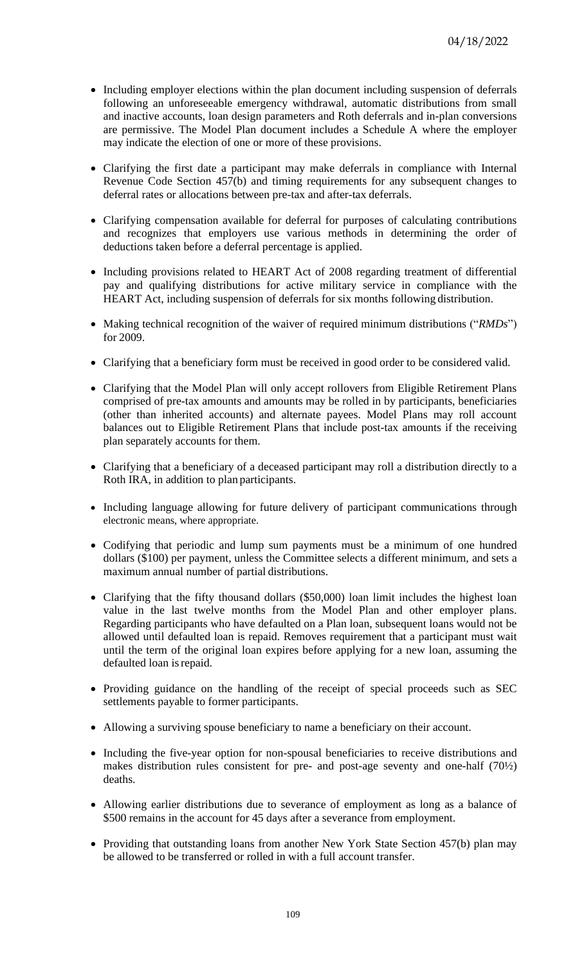- Including employer elections within the plan document including suspension of deferrals following an unforeseeable emergency withdrawal, automatic distributions from small and inactive accounts, loan design parameters and Roth deferrals and in-plan conversions are permissive. The Model Plan document includes a Schedule A where the employer may indicate the election of one or more of these provisions.
- Clarifying the first date a participant may make deferrals in compliance with Internal Revenue Code Section 457(b) and timing requirements for any subsequent changes to deferral rates or allocations between pre-tax and after-tax deferrals.
- Clarifying compensation available for deferral for purposes of calculating contributions and recognizes that employers use various methods in determining the order of deductions taken before a deferral percentage is applied.
- Including provisions related to HEART Act of 2008 regarding treatment of differential pay and qualifying distributions for active military service in compliance with the HEART Act, including suspension of deferrals for six months following distribution.
- Making technical recognition of the waiver of required minimum distributions ("*RMDs*") for 2009.
- Clarifying that a beneficiary form must be received in good order to be considered valid.
- Clarifying that the Model Plan will only accept rollovers from Eligible Retirement Plans comprised of pre-tax amounts and amounts may be rolled in by participants, beneficiaries (other than inherited accounts) and alternate payees. Model Plans may roll account balances out to Eligible Retirement Plans that include post-tax amounts if the receiving plan separately accounts for them.
- Clarifying that a beneficiary of a deceased participant may roll a distribution directly to a Roth IRA, in addition to plan participants.
- Including language allowing for future delivery of participant communications through electronic means, where appropriate.
- Codifying that periodic and lump sum payments must be a minimum of one hundred dollars (\$100) per payment, unless the Committee selects a different minimum, and sets a maximum annual number of partial distributions.
- Clarifying that the fifty thousand dollars (\$50,000) loan limit includes the highest loan value in the last twelve months from the Model Plan and other employer plans. Regarding participants who have defaulted on a Plan loan, subsequent loans would not be allowed until defaulted loan is repaid. Removes requirement that a participant must wait until the term of the original loan expires before applying for a new loan, assuming the defaulted loan isrepaid.
- Providing guidance on the handling of the receipt of special proceeds such as SEC settlements payable to former participants.
- Allowing a surviving spouse beneficiary to name a beneficiary on their account.
- Including the five-year option for non-spousal beneficiaries to receive distributions and makes distribution rules consistent for pre- and post-age seventy and one-half (70½) deaths.
- Allowing earlier distributions due to severance of employment as long as a balance of \$500 remains in the account for 45 days after a severance from employment.
- Providing that outstanding loans from another New York State Section 457(b) plan may be allowed to be transferred or rolled in with a full account transfer.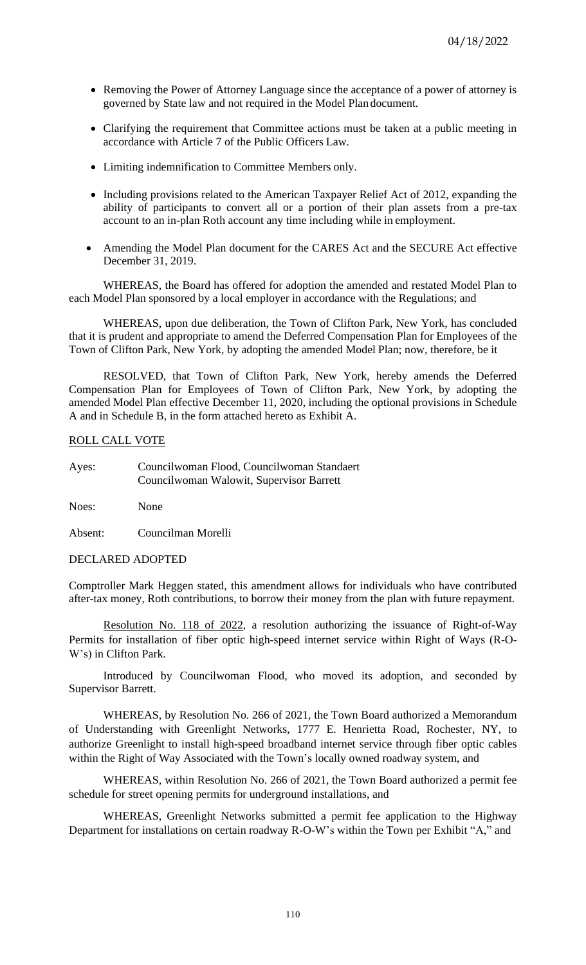- Removing the Power of Attorney Language since the acceptance of a power of attorney is governed by State law and not required in the Model Plan document.
- Clarifying the requirement that Committee actions must be taken at a public meeting in accordance with Article 7 of the Public Officers Law.
- Limiting indemnification to Committee Members only.
- Including provisions related to the American Taxpayer Relief Act of 2012, expanding the ability of participants to convert all or a portion of their plan assets from a pre-tax account to an in-plan Roth account any time including while in employment.
- Amending the Model Plan document for the CARES Act and the SECURE Act effective December 31, 2019.

WHEREAS, the Board has offered for adoption the amended and restated Model Plan to each Model Plan sponsored by a local employer in accordance with the Regulations; and

WHEREAS, upon due deliberation, the Town of Clifton Park, New York, has concluded that it is prudent and appropriate to amend the Deferred Compensation Plan for Employees of the Town of Clifton Park, New York, by adopting the amended Model Plan; now, therefore, be it

RESOLVED, that Town of Clifton Park, New York, hereby amends the Deferred Compensation Plan for Employees of Town of Clifton Park, New York, by adopting the amended Model Plan effective December 11, 2020, including the optional provisions in Schedule A and in Schedule B, in the form attached hereto as Exhibit A.

## ROLL CALL VOTE

Ayes: Councilwoman Flood, Councilwoman Standaert Councilwoman Walowit, Supervisor Barrett

Noes: None

Absent: Councilman Morelli

## DECLARED ADOPTED

Comptroller Mark Heggen stated, this amendment allows for individuals who have contributed after-tax money, Roth contributions, to borrow their money from the plan with future repayment.

Resolution No. 118 of 2022, a resolution authorizing the issuance of Right-of-Way Permits for installation of fiber optic high-speed internet service within Right of Ways (R-O-W's) in Clifton Park.

Introduced by Councilwoman Flood, who moved its adoption, and seconded by Supervisor Barrett.

WHEREAS, by Resolution No. 266 of 2021, the Town Board authorized a Memorandum of Understanding with Greenlight Networks, 1777 E. Henrietta Road, Rochester, NY, to authorize Greenlight to install high-speed broadband internet service through fiber optic cables within the Right of Way Associated with the Town's locally owned roadway system, and

WHEREAS, within Resolution No. 266 of 2021, the Town Board authorized a permit fee schedule for street opening permits for underground installations, and

WHEREAS, Greenlight Networks submitted a permit fee application to the Highway Department for installations on certain roadway R-O-W's within the Town per Exhibit "A," and